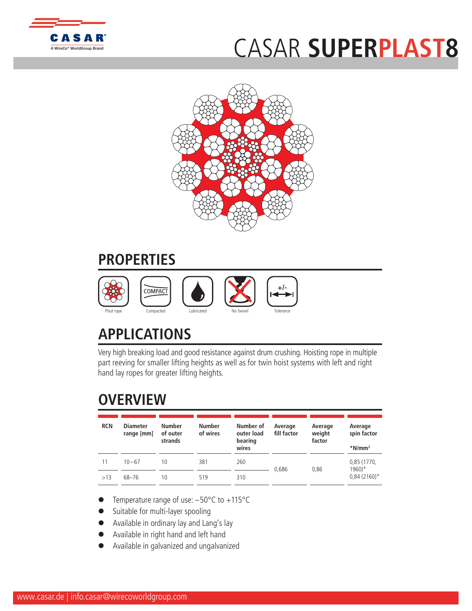

## CASAR **[SUPER](http://www.WireCoWorldGroup.com)PLAST8**



## **PROPERTIES**



## **APPLICATIONS**

Very high breaking load and good resistance against drum crushing. Hoisting rope in multiple part reeving for smaller lifting heights as well as for twin hoist systems with left and right hand lay ropes for greater lifting heights.

## **OVERVIEW**

| <b>RCN</b> | <b>Diameter</b><br>range [mm] | <b>Number</b><br>of outer<br>strands | <b>Number</b><br>of wires | Number of<br>outer load<br>bearing<br>wires | Average<br>fill factor | Average<br>weight<br>factor | Average<br>spin factor<br>$*$ N/mm <sup>2</sup> |  |
|------------|-------------------------------|--------------------------------------|---------------------------|---------------------------------------------|------------------------|-----------------------------|-------------------------------------------------|--|
| 11         | $10 - 67$                     | 10                                   | 381                       | 260                                         | 0.686                  | 0.86                        | 0,85 (1770,<br>$1960$ <sup>*</sup>              |  |
| >13        | 68-76                         | 10                                   | 519                       | 310                                         |                        |                             | $0,84(2160)^*$                                  |  |

- Temperature range of use: -50°C to +115°C
- Suitable for multi-layer spooling
- Available in ordinary lay and Lang's lay
- l Available in right hand and left hand
- l Available in galvanized and ungalvanized